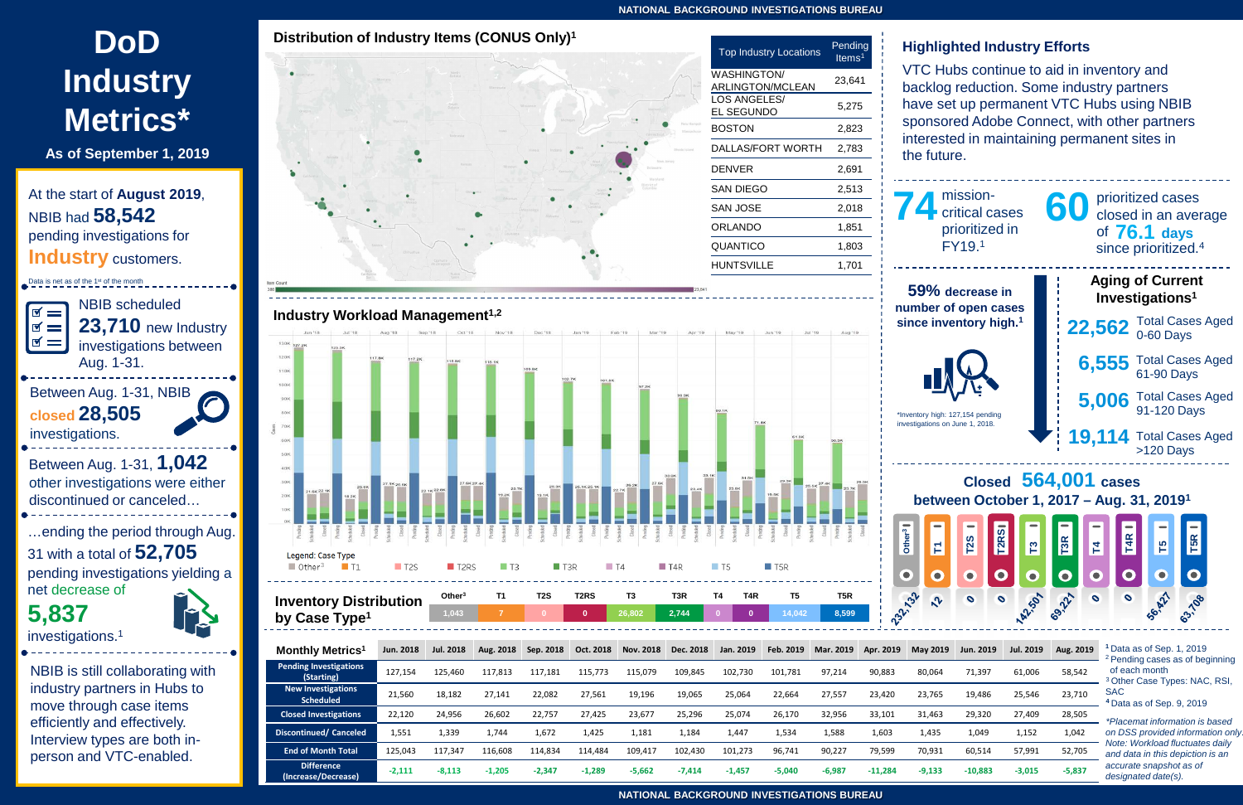**NATIONAL BACKGROUND INVESTIGATIONS BUREAU**

### **NATIONAL BACKGROUND INVESTIGATIONS BUREAU**

At the start of **August 2019**, NBIB had **58,542** pending investigations for **Industry** customers.

- 
- <sup>2</sup> Pending cases as of beginning
- 
- 

*\*Placemat information is based on DSS provided information only. Note: Workload fluctuates daily and data in this depiction is an accurate snapshot as of designated date(s).*

# **DoD Industry Metrics\***



**As of September 1, 2019**

Data is net as of the 1<sup>st</sup> of the month NBIB scheduled  $\blacksquare$ **23,710** new Industry  $\mathbf{v} =$  $\blacksquare$ investigations between Aug. 1-31. Between Aug. 1-31, NBIB **closed 28,505**  investigations. Between Aug. 1-31, **1,042** other investigations were either discontinued or canceled… …ending the period through Aug. 31 with a total of **52,705**  pending investigations yielding a net decrease of **5,837** investigations.1

NBIB is still collaborating with industry partners in Hubs to move through case items efficiently and effectively. Interview types are both inperson and VTC-enabled.

### **Highlighted Industry Efforts**

VTC Hubs continue to aid in inventory and backlog reduction. Some industry partners have set up permanent VTC Hubs using NBIB sponsored Adobe Connect, with other partners interested in maintaining permanent sites in the future.

| mission-<br>74<br>critical cases<br>prioritized in<br>FY19.1                  | prioritized cases<br>60 prioritized cases<br>60 closed in an average<br>of $76.1$ days<br>since prioritized. <sup>4</sup> |  |  |  |  |  |  |  |  |
|-------------------------------------------------------------------------------|---------------------------------------------------------------------------------------------------------------------------|--|--|--|--|--|--|--|--|
| 59% decrease in<br>number of open cases<br>since inventory high. <sup>1</sup> | <b>Aging of Current</b><br>Investigations <sup>1</sup>                                                                    |  |  |  |  |  |  |  |  |
|                                                                               | $22,562$ Total Cases Aged                                                                                                 |  |  |  |  |  |  |  |  |
| <b>NX</b>                                                                     | Total Cases Aged<br>61-90 Days<br>6,555                                                                                   |  |  |  |  |  |  |  |  |
| *Inventory high: 127,154 pending                                              | $5,006$ Total Cases Aged<br>91-120 Days                                                                                   |  |  |  |  |  |  |  |  |
| investigations on June 1, 2018.                                               | 19,114 Total Cases Aged<br>>120 Days                                                                                      |  |  |  |  |  |  |  |  |
| Closed 564,001 cases                                                          |                                                                                                                           |  |  |  |  |  |  |  |  |

| lonthly Metrics <sup>1</sup>                  | Jun. 2018 | <b>Jul. 2018</b> | Aug. 2018 | Sep. 2018 | Oct. 2018 | Nov. 2018 | Dec. 2018 | Jan. 2019 | Feb. 2019 | Mar. 2019 | Apr. 2019 | <b>May 2019</b> | Jun. 2019 | Jul. 2019 | Aug. 2019 |
|-----------------------------------------------|-----------|------------------|-----------|-----------|-----------|-----------|-----------|-----------|-----------|-----------|-----------|-----------------|-----------|-----------|-----------|
| ending Investigations<br>(Starting)           | 127.154   | 125.460          | 117.813   | 117,181   | 115.773   | 115,079   | 109,845   | 102.730   | 101,781   | 97,214    | 90,883    | 80,064          | 71,397    | 61,006    | 58,542    |
| <b>New Investigations</b><br><b>Scheduled</b> | 21,560    | 18,182           | 27.141    | 22,082    | 27,561    | 19,196    | 19,065    | 25.064    | 22,664    | 27,557    | 23,420    | 23.765          | 19,486    | 25,546    | 23,710    |
| Closed Investigations                         | 22,120    | 24,956           | 26.602    | 22,757    | 27,425    | 23,677    | 25,296    | 25.074    | 26,170    | 32,956    | 33,101    | 31.463          | 29,320    | 27.409    | 28,505    |
| scontinued/ Canceled                          | 1,551     | 1,339            | 1,744     | 1.672     | 1,425     | 1,181     | 1.184     | 1,447     | 1,534     | 1,588     | 1.603     | 1,435           | 1.049     | 1,152     | 1,042     |
| <b>End of Month Total</b>                     | 125,043   | 117.347          | 116.608   | 114,834   | 114.484   | 109,417   | 102,430   | 101.273   | 96.741    | 90,227    | 79,599    | 70,931          | 60,514    | 57,991    | 52,705    |
| <b>Difference</b><br>(Increase/Decrease)      | $-2,111$  | $-8,113$         | $-1,205$  | $-2,347$  | $-1,289$  | $-5,662$  | $-7,414$  | $-1,457$  | $-5,040$  | $-6,987$  | $-11,284$ | $-9,133$        | $-10,883$ | $-3,015$  | $-5,837$  |